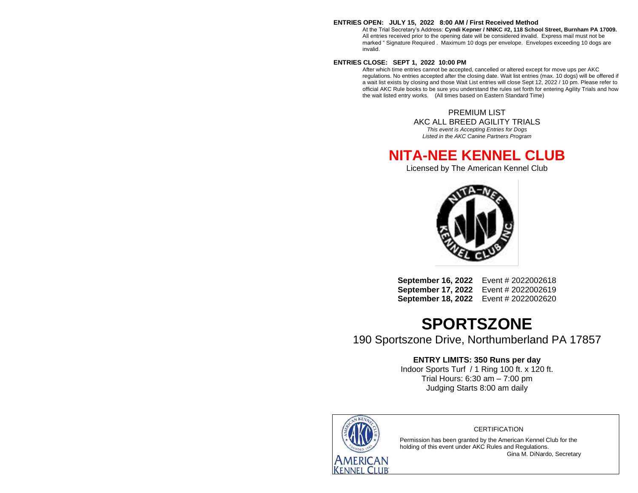#### **ENTRIES OPEN: JULY 15, 2022 8:00 AM / First Received Method**

At the Trial Secretary's Address: **Cyndi Kepner / NNKC #2, 118 School Street, Burnham PA 17009.** All entries received prior to the opening date will be considered invalid. Express mail must not be marked " Signature Required . Maximum 10 dogs per envelope. Envelopes exceeding 10 dogs are invalid.

#### **ENTRIES CLOSE: SEPT 1, 2022 10:00 PM**

After which time entries cannot be accepted, cancelled or altered except for move ups per AKC regulations. No entries accepted after the closing date. Wait list entries (max. 10 dogs) will be offered if a wait list exists by closing and those Wait List entries will close Sept 12, 2022 / 10 pm. Please refer to official AKC Rule books to be sure you understand the rules set forth for entering Agility Trials and how the wait listed entry works. (All times based on Eastern Standard Time)

> PREMIUM LIST AKC ALL BREED AGILITY TRIALS

*This event is Accepting Entries for Dogs Listed in the AKC Canine Partners Program*

### **NITA-NEE KENNEL CLUB**

Licensed by The American Kennel Club



**September 16, 2022** Event # 2022002618 **September 17, 2022** Event # 2022002619 **September 18, 2022** Event # 2022002620

## **SPORTSZONE**

190 Sportszone Drive, Northumberland PA 17857

#### **ENTRY LIMITS: 350 Runs per day**

Indoor Sports Turf / 1 Ring 100 ft. x 120 ft. Trial Hours: 6:30 am – 7:00 pm Judging Starts 8:00 am daily



#### **CERTIFICATION**

Permission has been granted by the American Kennel Club for the holding of this event under AKC Rules and Regulations. Gina M. DiNardo, Secretary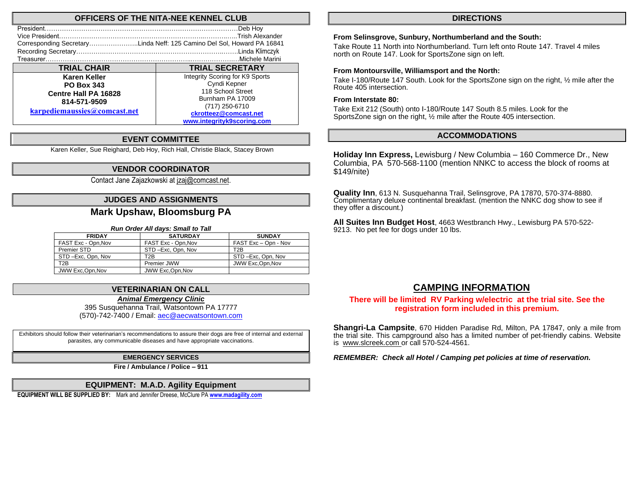#### **OFFICERS OF THE NITA-NEE KENNEL CLUB**

| President                                                              | .Deb Hoy                        |
|------------------------------------------------------------------------|---------------------------------|
|                                                                        | Trish Alexander                 |
| Corresponding SecretaryLinda Neff: 125 Camino Del Sol, Howard PA 16841 |                                 |
|                                                                        |                                 |
|                                                                        | Michele Marini                  |
| <b>TRIAL CHAIR</b>                                                     | <b>TRIAL SECRETARY</b>          |
| Karen Keller                                                           | Integrity Scoring for K9 Sports |
| <b>PO Box 343</b>                                                      | Cyndi Kepner                    |
| <b>Centre Hall PA 16828</b>                                            | 118 School Street               |
| 814-571-9509                                                           | Burnham PA 17009                |
|                                                                        | (717) 250-6710                  |
| karpediemaussies@comcast.net                                           | ckrotteez@comcast.net           |
|                                                                        | www.integrityk9scoring.com      |

#### **EVENT COMMITTEE**

Karen Keller, Sue Reighard, Deb Hoy, Rich Hall, Christie Black, Stacey Brown

#### **VENDOR COORDINATOR**

Contact Jane Zajazkowski at [jzaj@comcast.net.](mailto:jzaj@comcast.net)

#### **JUDGES AND ASSIGNMENTS**

#### **Mark Upshaw, Bloomsburg PA**

#### *Run Order All days: Small to Tall*

| <b>FRIDAY</b>       | <b>SATURDAY</b>     | <b>SUNDAY</b>        |
|---------------------|---------------------|----------------------|
| FAST Exc - Opn, Nov | FAST Exc - Opn, Nov | FAST Exc - Opn - Nov |
| Premier STD         | STD-Exc, Opn, Nov   | T2B                  |
| STD-Exc, Opn, Nov   | T2B                 | STD-Exc, Opn, Nov    |
| T2B                 | Premier JWW         | JWW Exc.Opn.Nov      |
| JWW Exc.Opn.Nov     | JWW Exc.Opn.Nov     |                      |

#### **VETERINARIAN ON CALL**

*Animal Emergency Clinic*

395 Susquehanna Trail, Watsontown PA 17777 (570)-742-7400 / Email[: aec@aecwatsontown.com](mailto:aec@aecwatsontown.com)

Exhibitors should follow their veterinarian's recommendations to assure their dogs are free of internal and external parasites, any communicable diseases and have appropriate vaccinations.

#### **EMERGENCY SERVICES**

**Fire / Ambulance / Police – 911**

#### **EQUIPMENT: M.A.D. Agility Equipment**

**EQUIPMENT WILL BE SUPPLIED BY:** Mark and Jennifer Dreese, McClure PA **[www.madagility.com](http://www.madagility.com/)**

#### **DIRECTIONS**

#### **From Selinsgrove, Sunbury, Northumberland and the South:**

Take Route 11 North into Northumberland. Turn left onto Route 147. Travel 4 miles north on Route 147. Look for SportsZone sign on left.

#### **From Montoursville, Williamsport and the North:**

Take I-180/Route 147 South. Look for the SportsZone sign on the right, ½ mile after the Route 405 intersection.

#### **From Interstate 80:**

Take Exit 212 (South) onto I-180/Route 147 South 8.5 miles. Look for the SportsZone sign on the right, ½ mile after the Route 405 intersection.

#### **ACCOMMODATIONS**

**Holiday Inn Express,** Lewisburg / New Columbia – 160 Commerce Dr., New Columbia, PA 570-568-1100 (mention NNKC to access the block of rooms at \$149/nite)

**Quality Inn**, 613 N. Susquehanna Trail, Selinsgrove, PA 17870, 570-374-8880. Complimentary deluxe continental breakfast. (mention the NNKC dog show to see if they offer a discount.)

**All Suites Inn Budget Host**, 4663 Westbranch Hwy., Lewisburg PA 570-522- 9213. No pet fee for dogs under 10 lbs.

#### **CAMPING INFORMATION**

#### **There will be limited RV Parking w/electric at the trial site. See the registration form included in this premium.**

**Shangri-La Campsite**, 670 Hidden Paradise Rd, Milton, PA 17847, only a mile from the trial site. This campground also has a limited number of pet-friendly cabins. Website is [www.slcreek.com](http://www.slcreek.com/) or call 570-524-4561.

*REMEMBER: Check all Hotel / Camping pet policies at time of reservation.*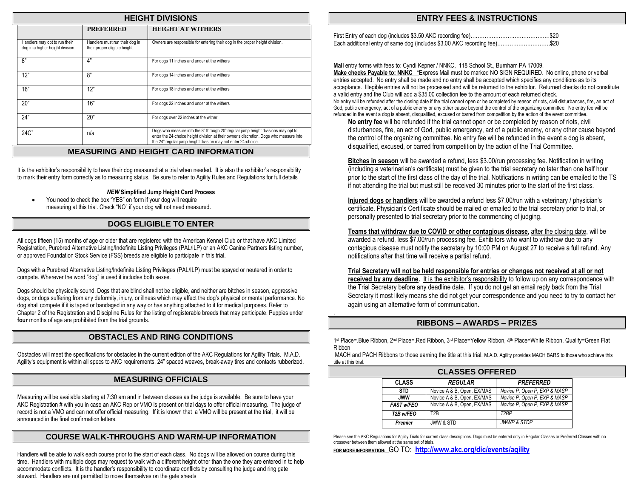| <b>HEIGHT DIVISIONS</b>                                           |                                                                 |                                                                                                                                                                                                                                              |  |  |  |  |  |
|-------------------------------------------------------------------|-----------------------------------------------------------------|----------------------------------------------------------------------------------------------------------------------------------------------------------------------------------------------------------------------------------------------|--|--|--|--|--|
| <b>HEIGHT AT WITHERS</b><br><b>PREFERRED</b>                      |                                                                 |                                                                                                                                                                                                                                              |  |  |  |  |  |
| Handlers may opt to run their<br>dog in a higher height division. | Handlers must run their dog in<br>their proper eligible height. | Owners are responsible for entering their dog in the proper height division.                                                                                                                                                                 |  |  |  |  |  |
| 8"                                                                | 4"                                                              | For dogs 11 inches and under at the withers                                                                                                                                                                                                  |  |  |  |  |  |
| 12"                                                               | 8"                                                              | For dogs 14 inches and under at the withers                                                                                                                                                                                                  |  |  |  |  |  |
| 16"                                                               | 12"                                                             | For dogs 18 inches and under at the withers                                                                                                                                                                                                  |  |  |  |  |  |
| 20"                                                               | 16"                                                             | For dogs 22 inches and under at the withers                                                                                                                                                                                                  |  |  |  |  |  |
| 24"                                                               | 20"                                                             | For dogs over 22 inches at the wither                                                                                                                                                                                                        |  |  |  |  |  |
| $24C$ "                                                           | n/a                                                             | Dogs who measure into the 8" through 20" regular jump height divisions may opt to<br>enter the 24-choice height division at their owner's discretion. Dogs who measure into<br>the 24" regular jump height division may not enter 24-choice. |  |  |  |  |  |

#### **MEASURING AND HEIGHT CARD INFORMATION**

It is the exhibitor's responsibility to have their dog measured at a trial when needed. It is also the exhibitor's responsibility to mark their entry form correctly as to measuring status. Be sure to refer to Agility Rules and Regulations for full details

#### *NEW* **Simplified Jump Height Card Process**

• You need to check the box "YES" on form if your dog will require measuring at this trial. Check "NO" if your dog will not need measured.

#### **DOGS ELIGIBLE TO ENTER**

All dogs fifteen (15) months of age or older that are registered with the American Kennel Club or that have AKC Limited Registration, Purebred Alternative Listing/Indefinite Listing Privileges (PAL/ILP) or an AKC Canine Partners listing number, or approved Foundation Stock Service (FSS) breeds are eligible to participate in this trial.

Dogs with a Purebred Alternative Listing/Indefinite Listing Privileges (PAL/ILP) must be spayed or neutered in order to compete. Wherever the word "dog" is used it includes both sexes.

Dogs should be physically sound. Dogs that are blind shall not be eligible, and neither are bitches in season, aggressive dogs, or dogs suffering from any deformity, injury, or illness which may affect the dog's physical or mental performance. No dog shall compete if it is taped or bandaged in any way or has anything attached to it for medical purposes. Refer to Chapter 2 of the Registration and Discipline Rules for the listing of registerable breeds that may participate. Puppies under **four** months of age are prohibited from the trial grounds.

#### **OBSTACLES AND RING CONDITIONS**

Obstacles will meet the specifications for obstacles in the current edition of the AKC Regulations for Agility Trials. M.A.D. Agility's equipment is within all specs to AKC requirements. 24" spaced weaves, break-away tires and contacts rubberized.

#### **MEASURING OFFICIALS**

Measuring will be available starting at 7:30 am and in between classes as the judge is available. Be sure to have your AKC Registration # with you in case an AKC Rep or VMO is present on trial days to offer official measuring. The judge of record is not a VMO and can not offer official measuring. If it is known that a VMO will be present at the trial, it will be announced in the final confirmation letters.

#### **COURSE WALK-THROUGHS AND WARM-UP INFORMATION**

Handlers will be able to walk each course prior to the start of each class. No dogs will be allowed on course during this time. Handlers with multiple dogs may request to walk with a different height other than the one they are entered in to help accommodate conflicts. It is the handler's responsibility to coordinate conflicts by consulting the judge and ring gate steward. Handlers are not permitted to move themselves on the gate sheets

#### **ENTRY FEES & INSTRUCTIONS**

| Each additional entry of same dog (includes \$3.00 AKC recording fee)\$20 |  |
|---------------------------------------------------------------------------|--|

**Mail** entry forms with fees to: Cyndi Kepner / NNKC, 118 School St., Burnham PA 17009. **Make checks Payable to: NNKC \***Express Mail must be marked NO SIGN REQUIRED. No online, phone or verbal entries accepted. No entry shall be made and no entry shall be accepted which specifies any conditions as to its acceptance. Illegible entries will not be processed and will be returned to the exhibitor. Returned checks do not constitute a valid entry and the Club will add a \$35.00 collection fee to the amount of each returned check. No entry will be refunded after the closing date if the trial cannot open or be completed by reason of riots, civil disturbances, fire, an act of God, public emergency, act of a public enemy or any other cause beyond the control of the organizing committee. No entry fee will be refunded in the event a dog is absent, disqualified, excused or barred from competition by the action of the event committee.

**No entry fee** will be refunded if the trial cannot open or be completed by reason of riots, civil disturbances, fire, an act of God, public emergency, act of a public enemy, or any other cause beyond the control of the organizing committee. No entry fee will be refunded in the event a dog is absent, disqualified, excused, or barred from competition by the action of the Trial Committee.

**Bitches in season** will be awarded a refund, less \$3.00/run processing fee. Notification in writing (including a veterinarian's certificate) must be given to the trial secretary no later than one half hour prior to the start of the first class of the day of the trial. Notifications in writing can be emailed to the TS if not attending the trial but must still be received 30 minutes prior to the start of the first class.

**Injured dogs or handlers** will be awarded a refund less \$7.00/run with a veterinary / physician's certificate. Physician's Certificate should be mailed or emailed to the trial secretary prior to trial, or personally presented to trial secretary prior to the commencing of judging.

**Teams that withdraw due to COVID or other contagious disease**, after the closing date, will be awarded a refund, less \$7.00/run processing fee. Exhibitors who want to withdraw due to any contagious disease must notify the secretary by 10:00 PM on August 27 to receive a full refund. Any notifications after that time will receive a partial refund.

**Trial Secretary will not be held responsible for entries or changes not received at all or not received by any deadline.** It is the exhibitor's responsibility to follow up on any correspondence with the Trial Secretary before any deadline date. If you do not get an email reply back from the Trial Secretary it most likely means she did not get your correspondence and you need to try to contact her again using an alternative form of communication.

#### **RIBBONS – AWARDS – PRIZES**

1st Place=.Blue Ribbon, 2<sup>nd</sup> Place=.Red Ribbon, 3<sup>rd</sup> Place=Yellow Ribbon, 4<sup>th</sup> Place=White Ribbon, Qualify=Green Flat Ribbon

MACH and PACH Ribbons to those earning the title at this trial. M.A.D. Agility provides MACH BARS to those who achieve this title at this trial.

| <b>CLASSES OFFERED</b> |                            |                              |  |  |  |  |
|------------------------|----------------------------|------------------------------|--|--|--|--|
| <b>CLASS</b>           | <b>REGULAR</b>             | <b>PREFERRED</b>             |  |  |  |  |
| <b>STD</b>             | Novice A & B, Open, EX/MAS | Novice P. Open P. EXP & MASP |  |  |  |  |
| <b>JWW</b>             | Novice A & B, Open, EX/MAS | Novice P. Open P. EXP & MASP |  |  |  |  |
| <b>FAST w/FEO</b>      | Novice A & B, Open, EX/MAS | Novice P. Open P. EXP & MASP |  |  |  |  |
| T2B w/FEO              | T2R                        | T <sub>2</sub> RP            |  |  |  |  |
| <b>Premier</b>         | <b>JWW &amp; STD</b>       | <b>JWWP &amp; STDP</b>       |  |  |  |  |

Please see the AKC Regulations for Agility Trials for current class descriptions. Dogs must be entered only in Regular Classes or Preferred Classes with no crossover between them allowed at the same set of trials.

**FOR MORE INFORMATION:** GO TO: **<http://www.akc.org/dic/events/agility>**

.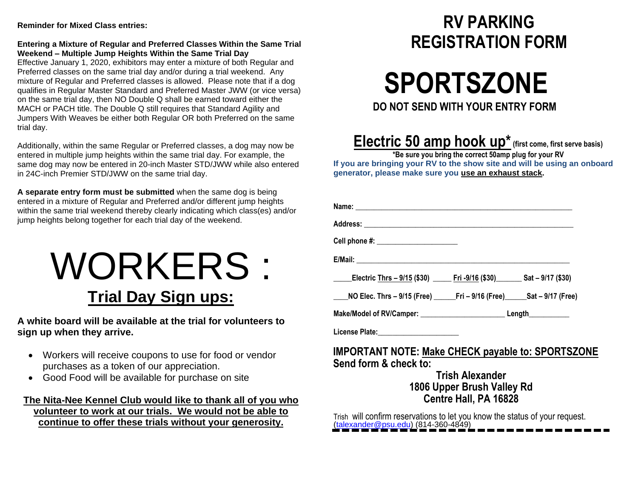#### **Reminder for Mixed Class entries:**

#### **Entering a Mixture of Regular and Preferred Classes Within the Same Trial Weekend – Multiple Jump Heights Within the Same Trial Day**

Effective January 1, 2020, exhibitors may enter a mixture of both Regular and Preferred classes on the same trial day and/or during a trial weekend. Any mixture of Regular and Preferred classes is allowed. Please note that if a dog qualifies in Regular Master Standard and Preferred Master JWW (or vice versa) on the same trial day, then NO Double Q shall be earned toward either the MACH or PACH title. The Double Q still requires that Standard Agility and Jumpers With Weaves be either both Regular OR both Preferred on the same trial day.

Additionally, within the same Regular or Preferred classes, a dog may now be entered in multiple jump heights within the same trial day. For example, the same dog may now be entered in 20-inch Master STD/JWW while also entered in 24C-inch Premier STD/JWW on the same trial day.

**A separate entry form must be submitted** when the same dog is being entered in a mixture of Regular and Preferred and/or different jump heights within the same trial weekend thereby clearly indicating which class(es) and/or jump heights belong together for each trial day of the weekend.

# WORKERS : **Trial Day Sign ups:**

**A white board will be available at the trial for volunteers to sign up when they arrive.**

- Workers will receive coupons to use for food or vendor purchases as a token of our appreciation.
- Good Food will be available for purchase on site

#### **The Nita-Nee Kennel Club would like to thank all of you who volunteer to work at our trials. We would not be able to continue to offer these trials without your generosity.**

# **RV PARKING REGISTRATION FORM**

 **SPORTSZONE DO NOT SEND WITH YOUR ENTRY FORM**

# **Electric 50 amp hook up\* (first come, first serve basis)**

**\*Be sure you bring the correct 50amp plug for your RV If you are bringing your RV to the show site and will be using an onboard generator, please make sure you use an exhaust stack.**

| Electric Thrs - 9/15 (\$30) Fri -9/16 (\$30) Sat - 9/17 (\$30)                   |                             |  |
|----------------------------------------------------------------------------------|-----------------------------|--|
| ____NO Elec. Thrs - 9/15 (Free) ______Fri - 9/16 (Free) ______Sat - 9/17 (Free)  |                             |  |
| Make/Model of RV/Camper: __________________________________Length_______________ |                             |  |
| License Plate: Management Plate:                                                 |                             |  |
| <b>IMPORTANT NOTE: Make CHECK payable to: SPORTSZONE</b>                         |                             |  |
| Send form & check to:                                                            |                             |  |
|                                                                                  | Trish Alexander             |  |
|                                                                                  | 1806 Linnar Rruch Vallav Rd |  |

#### **1806 Upper Brush Valley Rd Centre Hall, PA 16828**

Trish will confirm reservations to let you know the status of your request. [\(talexander@psu.edu\)](mailto:talexander@psu.edu) (814-360-4849)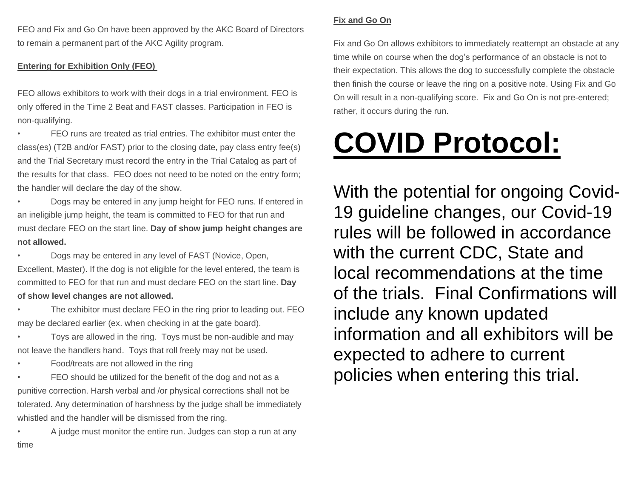FEO and Fix and Go On have been approved by the AKC Board of Directors to remain a permanent part of the AKC Agility program.

#### **Entering for Exhibition Only (FEO)**

FEO allows exhibitors to work with their dogs in a trial environment. FEO is only offered in the Time 2 Beat and FAST classes. Participation in FEO is non-qualifying.

• FEO runs are treated as trial entries. The exhibitor must enter the class(es) (T2B and/or FAST) prior to the closing date, pay class entry fee(s) and the Trial Secretary must record the entry in the Trial Catalog as part of the results for that class. FEO does not need to be noted on the entry form; the handler will declare the day of the show.

• Dogs may be entered in any jump height for FEO runs. If entered in an ineligible jump height, the team is committed to FEO for that run and must declare FEO on the start line. **Day of show jump height changes are not allowed.**

• Dogs may be entered in any level of FAST (Novice, Open, Excellent, Master). If the dog is not eligible for the level entered, the team is committed to FEO for that run and must declare FEO on the start line. **Day of show level changes are not allowed.**

The exhibitor must declare FEO in the ring prior to leading out. FEO may be declared earlier (ex. when checking in at the gate board).

• Toys are allowed in the ring. Toys must be non-audible and may not leave the handlers hand. Toys that roll freely may not be used.

• Food/treats are not allowed in the ring

FEO should be utilized for the benefit of the dog and not as a punitive correction. Harsh verbal and /or physical corrections shall not be tolerated. Any determination of harshness by the judge shall be immediately whistled and the handler will be dismissed from the ring.

• A judge must monitor the entire run. Judges can stop a run at any time

#### **Fix and Go On**

Fix and Go On allows exhibitors to immediately reattempt an obstacle at any time while on course when the dog's performance of an obstacle is not to their expectation. This allows the dog to successfully complete the obstacle then finish the course or leave the ring on a positive note. Using Fix and Go On will result in a non-qualifying score. Fix and Go On is not pre-entered; rather, it occurs during the run.

# **COVID Protocol:**

With the potential for ongoing Covid-19 guideline changes, our Covid-19 rules will be followed in accordance with the current CDC, State and local recommendations at the time of the trials. Final Confirmations will include any known updated information and all exhibitors will be expected to adhere to current policies when entering this trial.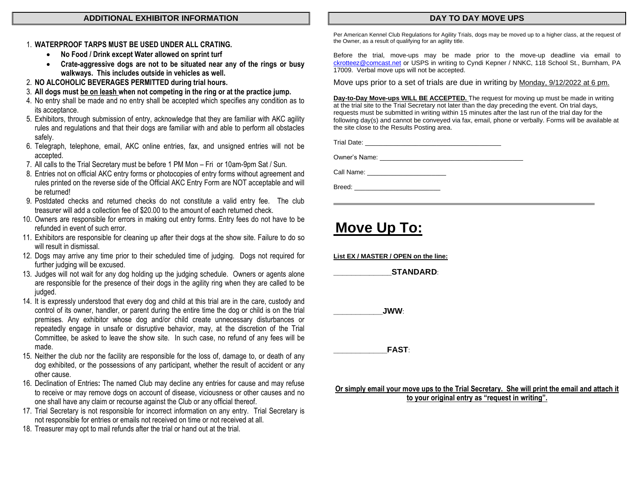#### **ADDITIONAL EXHIBITOR INFORMATION**

#### 1. **WATERPROOF TARPS MUST BE USED UNDER ALL CRATING.**

- **No Food / Drink except Water allowed on sprint turf**
- **Crate-aggressive dogs are not to be situated near any of the rings or busy walkways. This includes outside in vehicles as well.**
- 2. **NO ALCOHOLIC BEVERAGES PERMITTED during trial hours.**
- 3. **All dogs must be on leash when not competing in the ring or at the practice jump.**
- 4. No entry shall be made and no entry shall be accepted which specifies any condition as to its acceptance.
- 5. Exhibitors, through submission of entry, acknowledge that they are familiar with AKC agility rules and regulations and that their dogs are familiar with and able to perform all obstacles safely.
- 6. Telegraph, telephone, email, AKC online entries, fax, and unsigned entries will not be accepted.
- 7. All calls to the Trial Secretary must be before 1 PM Mon Fri or 10am-9pm Sat / Sun.
- 8. Entries not on official AKC entry forms or photocopies of entry forms without agreement and rules printed on the reverse side of the Official AKC Entry Form are NOT acceptable and will be returned!
- 9. Postdated checks and returned checks do not constitute a valid entry fee. The club treasurer will add a collection fee of \$20.00 to the amount of each returned check.
- 10. Owners are responsible for errors in making out entry forms. Entry fees do not have to be refunded in event of such error.
- 11. Exhibitors are responsible for cleaning up after their dogs at the show site. Failure to do so will result in dismissal.
- 12. Dogs may arrive any time prior to their scheduled time of judging. Dogs not required for further judging will be excused.
- 13. Judges will not wait for any dog holding up the judging schedule. Owners or agents alone are responsible for the presence of their dogs in the agility ring when they are called to be judged.
- 14. It is expressly understood that every dog and child at this trial are in the care, custody and control of its owner, handler, or parent during the entire time the dog or child is on the trial premises. Any exhibitor whose dog and/or child create unnecessary disturbances or repeatedly engage in unsafe or disruptive behavior, may, at the discretion of the Trial Committee, be asked to leave the show site. In such case, no refund of any fees will be made.
- 15. Neither the club nor the facility are responsible for the loss of, damage to, or death of any dog exhibited, or the possessions of any participant, whether the result of accident or any other cause.
- 16. Declination of Entries**:** The named Club may decline any entries for cause and may refuse to receive or may remove dogs on account of disease, viciousness or other causes and no one shall have any claim or recourse against the Club or any official thereof.
- 17. Trial Secretary is not responsible for incorrect information on any entry. Trial Secretary is not responsible for entries or emails not received on time or not received at all.
- 18. Treasurer may opt to mail refunds after the trial or hand out at the trial.

#### **DAY TO DAY MOVE UPS**

Per American Kennel Club Regulations for Agility Trials, dogs may be moved up to a higher class, at the request of the Owner, as a result of qualifying for an agility title.

Before the trial, move-ups may be made prior to the move-up deadline via email to [ckrotteez@comcast.net](mailto:ckrotteez@comcast.net) or USPS in writing to Cyndi Kepner / NNKC, 118 School St., Burnham, PA 17009. Verbal move ups will not be accepted.

Move ups prior to a set of trials are due in writing by Monday, 9/12/2022 at 6 pm.

**Day-to-Day Move-ups WILL BE ACCEPTED.** The request for moving up must be made in writing at the trial site to the Trial Secretary not later than the day preceding the event. On trial days, requests must be submitted in writing within 15 minutes after the last run of the trial day for the following day(s) and cannot be conveyed via fax, email, phone or verbally. Forms will be available at the site close to the Results Posting area.

Trial Date: \_\_\_\_\_\_\_\_\_\_\_\_\_\_\_\_\_\_\_\_\_\_\_\_\_\_\_\_\_\_\_\_\_\_\_\_\_\_

Owner's Name:

Call Name: \_\_\_\_\_\_\_\_\_\_\_\_\_\_\_\_\_\_\_\_\_\_

Breed: \_\_\_\_\_\_\_\_\_\_\_\_\_\_\_\_\_\_\_\_\_\_\_\_

### **Move Up To:**

**List EX / MASTER / OPEN on the line:**

 $STANDARD:$ 

**\_\_\_\_\_\_\_\_\_\_\_JWW**:

**\_\_\_\_\_\_\_\_\_\_\_\_FAST**:

**Or simply email your move ups to the Trial Secretary. She will print the email and attach it to your original entry as "request in writing".**